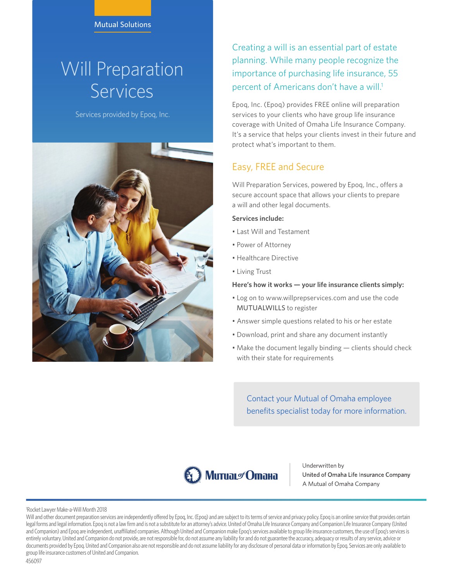# Will Preparation Services

Services provided by Epoq, Inc.



Creating a will is an essential part of estate planning. While many people recognize the importance of purchasing life insurance, 55 percent of Americans don't have a will.<sup>1</sup>

Epoq, Inc. (Epoq) provides FREE online will preparation services to your clients who have group life insurance coverage with United of Omaha Life Insurance Company. It's a service that helps your clients invest in their future and protect what's important to them.

## Easy, FREE and Secure

Will Preparation Services, powered by Epoq, Inc., offers a secure account space that allows your clients to prepare a will and other legal documents.

### **Services include:**

- Last Will and Testament
- Power of Attorney
- Healthcare Directive
- Living Trust

**Here's how it works — your life insurance clients simply:** 

- Log on to www.willprepservices.com and use the code MUTUALWILLS to register
- Answer simple questions related to his or her estate
- Download, print and share any document instantly
- Make the document legally binding clients should check with their state for requirements

Contact your Mutual of Omaha employee benefits specialist today for more information.



Underwritten by United of Omaha Life Insurance Company A Mutual of Omaha Company

#### 1 Rocket Lawyer Make-a-Will Month 2018

Will and other document preparation services are independently offered by Epoq, Inc. (Epoq) and are subject to its terms of service and privacy policy. Epoq is an online service that provides certain legal forms and legal information. Epoq is not a law firm and is not a substitute for an attorney's advice. United of Omaha Life Insurance Company and Companion Life Insurance Company (United and Companion) and Epoq are independent, unaffiliated companies. Although United and Companion make Epoq's services available to group life insurance customers, the use of Epoq's services is entirely voluntary. United and Companion do not provide, are not responsible for, do not assume any liability for and do not guarantee the accuracy, adequacy or results of any service, advice or documents provided by Epoq. United and Companion also are not responsible and do not assume liability for any disclosure of personal data or information by Epoq. Services are only available to group life insurance customers of United and Companion.